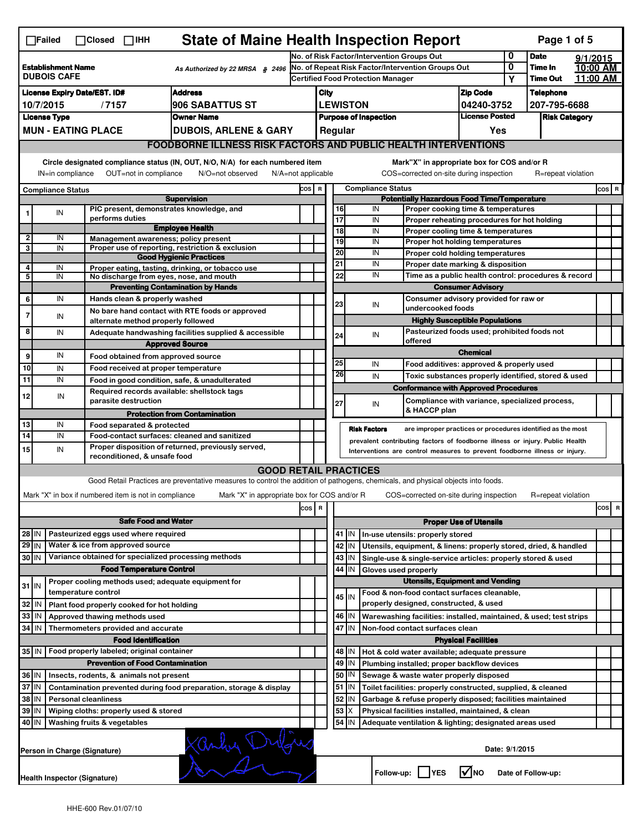|                                                                                                                                                         | <b>State of Maine Health Inspection Report</b><br>Page 1 of 5<br>$\Box$ Failed<br>$\Box$ Closed<br>$\Box$ ihh |                              |                                                       |                                                                                                                                                                   |                                                        |                                                                                           |                                                                                        |           |                                                           |                                                                                       |                               |              |                    |          |     |   |
|---------------------------------------------------------------------------------------------------------------------------------------------------------|---------------------------------------------------------------------------------------------------------------|------------------------------|-------------------------------------------------------|-------------------------------------------------------------------------------------------------------------------------------------------------------------------|--------------------------------------------------------|-------------------------------------------------------------------------------------------|----------------------------------------------------------------------------------------|-----------|-----------------------------------------------------------|---------------------------------------------------------------------------------------|-------------------------------|--------------|--------------------|----------|-----|---|
|                                                                                                                                                         |                                                                                                               |                              |                                                       |                                                                                                                                                                   |                                                        | 0<br>No. of Risk Factor/Intervention Groups Out                                           |                                                                                        |           |                                                           |                                                                                       |                               |              | <b>Date</b>        | 9/1/2015 |     |   |
| <b>Establishment Name</b><br>As Authorized by 22 MRSA § 2496<br><b>DUBOIS CAFE</b>                                                                      |                                                                                                               |                              |                                                       |                                                                                                                                                                   | 0<br>No. of Repeat Risk Factor/Intervention Groups Out |                                                                                           |                                                                                        |           |                                                           | Time In                                                                               | 10:00 AM                      |              |                    |          |     |   |
|                                                                                                                                                         |                                                                                                               |                              |                                                       |                                                                                                                                                                   |                                                        | <b>Certified Food Protection Manager</b>                                                  |                                                                                        |           |                                                           | Υ                                                                                     | Time Out                      | 11:00 AM     |                    |          |     |   |
| <b>Address</b><br><b>License Expiry Date/EST. ID#</b>                                                                                                   |                                                                                                               |                              |                                                       |                                                                                                                                                                   |                                                        | <b>Zip Code</b><br>City                                                                   |                                                                                        |           |                                                           |                                                                                       | <b>Telephone</b>              |              |                    |          |     |   |
| 10/7/2015<br>/7157<br><b>906 SABATTUS ST</b>                                                                                                            |                                                                                                               |                              |                                                       |                                                                                                                                                                   |                                                        |                                                                                           | <b>LEWISTON</b><br>04240-3752<br><b>License Posted</b><br><b>Purpose of Inspection</b> |           |                                                           |                                                                                       |                               | 207-795-6688 |                    |          |     |   |
| <b>Owner Name</b><br><b>License Type</b><br><b>MUN - EATING PLACE</b>                                                                                   |                                                                                                               |                              |                                                       |                                                                                                                                                                   |                                                        | Regular<br>Yes                                                                            |                                                                                        |           |                                                           |                                                                                       | <b>Risk Category</b>          |              |                    |          |     |   |
|                                                                                                                                                         |                                                                                                               |                              |                                                       | <b>DUBOIS, ARLENE &amp; GARY</b>                                                                                                                                  |                                                        |                                                                                           |                                                                                        |           |                                                           |                                                                                       |                               |              |                    |          |     |   |
| <b>FOODBORNE ILLNESS RISK FACTORS AND PUBLIC HEALTH INTERVENTIONS</b><br>Circle designated compliance status (IN, OUT, N/O, N/A) for each numbered item |                                                                                                               |                              |                                                       |                                                                                                                                                                   |                                                        |                                                                                           |                                                                                        |           |                                                           | Mark"X" in appropriate box for COS and/or R                                           |                               |              |                    |          |     |   |
| IN=in compliance<br>OUT=not in compliance<br>N/O=not observed<br>N/A=not applicable                                                                     |                                                                                                               |                              |                                                       |                                                                                                                                                                   |                                                        |                                                                                           |                                                                                        |           |                                                           | COS=corrected on-site during inspection                                               |                               |              | R=repeat violation |          |     |   |
| <b>Compliance Status</b><br><b>Supervision</b>                                                                                                          |                                                                                                               |                              |                                                       | COS R                                                                                                                                                             |                                                        | <b>Compliance Status</b><br>$cos$ R<br><b>Potentially Hazardous Food Time/Temperature</b> |                                                                                        |           |                                                           |                                                                                       |                               |              |                    |          |     |   |
|                                                                                                                                                         | IN                                                                                                            |                              |                                                       | PIC present, demonstrates knowledge, and                                                                                                                          |                                                        |                                                                                           |                                                                                        | 16        | IN                                                        | Proper cooking time & temperatures                                                    |                               |              |                    |          |     |   |
|                                                                                                                                                         |                                                                                                               |                              | performs duties                                       |                                                                                                                                                                   |                                                        |                                                                                           | $\overline{17}$                                                                        |           | IN                                                        | Proper reheating procedures for hot holding                                           |                               |              |                    |          |     |   |
| $\overline{2}$                                                                                                                                          | IN                                                                                                            |                              |                                                       | <b>Employee Health</b><br>Management awareness; policy present                                                                                                    |                                                        |                                                                                           | $\overline{18}$                                                                        |           | IN                                                        | Proper cooling time & temperatures                                                    |                               |              |                    |          |     |   |
| 3                                                                                                                                                       | IN                                                                                                            |                              |                                                       | Proper use of reporting, restriction & exclusion                                                                                                                  |                                                        |                                                                                           | 19                                                                                     |           | IN                                                        | Proper hot holding temperatures                                                       |                               |              |                    |          |     |   |
|                                                                                                                                                         |                                                                                                               |                              |                                                       | <b>Good Hygienic Practices</b>                                                                                                                                    |                                                        |                                                                                           | 20                                                                                     |           | IN                                                        | Proper cold holding temperatures                                                      |                               |              |                    |          |     |   |
| 4                                                                                                                                                       | IN                                                                                                            |                              |                                                       | Proper eating, tasting, drinking, or tobacco use                                                                                                                  |                                                        |                                                                                           | 21                                                                                     |           | IN                                                        | Proper date marking & disposition                                                     |                               |              |                    |          |     |   |
| 5                                                                                                                                                       | IN                                                                                                            |                              |                                                       | No discharge from eyes, nose, and mouth                                                                                                                           |                                                        |                                                                                           | 22                                                                                     |           | IN                                                        | Time as a public health control: procedures & record                                  |                               |              |                    |          |     |   |
|                                                                                                                                                         |                                                                                                               |                              |                                                       | <b>Preventing Contamination by Hands</b>                                                                                                                          |                                                        |                                                                                           |                                                                                        |           |                                                           |                                                                                       | <b>Consumer Advisory</b>      |              |                    |          |     |   |
| 6                                                                                                                                                       | IN                                                                                                            |                              | Hands clean & properly washed                         |                                                                                                                                                                   |                                                        |                                                                                           | 23                                                                                     |           | IN                                                        | Consumer advisory provided for raw or<br>undercooked foods                            |                               |              |                    |          |     |   |
| 7                                                                                                                                                       | IN                                                                                                            |                              |                                                       | No bare hand contact with RTE foods or approved                                                                                                                   |                                                        |                                                                                           |                                                                                        |           |                                                           |                                                                                       |                               |              |                    |          |     |   |
|                                                                                                                                                         |                                                                                                               |                              |                                                       | alternate method properly followed                                                                                                                                |                                                        |                                                                                           |                                                                                        |           |                                                           | <b>Highly Susceptible Populations</b><br>Pasteurized foods used; prohibited foods not |                               |              |                    |          |     |   |
| 8                                                                                                                                                       | IN                                                                                                            |                              |                                                       | Adequate handwashing facilities supplied & accessible                                                                                                             |                                                        |                                                                                           | 24                                                                                     |           | IN                                                        | offered                                                                               |                               |              |                    |          |     |   |
|                                                                                                                                                         |                                                                                                               |                              |                                                       | <b>Approved Source</b>                                                                                                                                            |                                                        |                                                                                           |                                                                                        |           |                                                           |                                                                                       | <b>Chemical</b>               |              |                    |          |     |   |
| 9                                                                                                                                                       | IN                                                                                                            |                              |                                                       | Food obtained from approved source                                                                                                                                |                                                        |                                                                                           | 25                                                                                     |           | IN                                                        | Food additives: approved & properly used                                              |                               |              |                    |          |     |   |
| 10                                                                                                                                                      | IN                                                                                                            |                              |                                                       | Food received at proper temperature                                                                                                                               |                                                        |                                                                                           | 26                                                                                     |           | IN                                                        | Toxic substances properly identified, stored & used                                   |                               |              |                    |          |     |   |
| 11                                                                                                                                                      | IN                                                                                                            |                              |                                                       | Food in good condition, safe, & unadulterated                                                                                                                     |                                                        |                                                                                           |                                                                                        |           |                                                           | <b>Conformance with Approved Procedures</b>                                           |                               |              |                    |          |     |   |
| 12                                                                                                                                                      | IN                                                                                                            |                              | parasite destruction                                  | Required records available: shellstock tags                                                                                                                       |                                                        |                                                                                           | 27                                                                                     |           | IN                                                        | Compliance with variance, specialized process,                                        |                               |              |                    |          |     |   |
|                                                                                                                                                         |                                                                                                               |                              |                                                       | <b>Protection from Contamination</b>                                                                                                                              |                                                        |                                                                                           |                                                                                        |           |                                                           | & HACCP plan                                                                          |                               |              |                    |          |     |   |
| 13                                                                                                                                                      | IN                                                                                                            |                              | Food separated & protected                            |                                                                                                                                                                   |                                                        |                                                                                           |                                                                                        |           | <b>Risk Factors</b>                                       | are improper practices or procedures identified as the most                           |                               |              |                    |          |     |   |
| 14                                                                                                                                                      | IN                                                                                                            |                              |                                                       | Food-contact surfaces: cleaned and sanitized                                                                                                                      |                                                        |                                                                                           |                                                                                        |           |                                                           | prevalent contributing factors of foodborne illness or injury. Public Health          |                               |              |                    |          |     |   |
| 15                                                                                                                                                      | IN                                                                                                            |                              | reconditioned, & unsafe food                          | Proper disposition of returned, previously served,                                                                                                                |                                                        |                                                                                           |                                                                                        |           |                                                           | Interventions are control measures to prevent foodborne illness or injury.            |                               |              |                    |          |     |   |
|                                                                                                                                                         |                                                                                                               |                              |                                                       |                                                                                                                                                                   |                                                        |                                                                                           |                                                                                        |           |                                                           |                                                                                       |                               |              |                    |          |     |   |
|                                                                                                                                                         |                                                                                                               |                              |                                                       | <b>GOOD RETAIL PRACTICES</b><br>Good Retail Practices are preventative measures to control the addition of pathogens, chemicals, and physical objects into foods. |                                                        |                                                                                           |                                                                                        |           |                                                           |                                                                                       |                               |              |                    |          |     |   |
|                                                                                                                                                         |                                                                                                               |                              |                                                       |                                                                                                                                                                   |                                                        |                                                                                           |                                                                                        |           |                                                           |                                                                                       |                               |              |                    |          |     |   |
|                                                                                                                                                         |                                                                                                               |                              | Mark "X" in box if numbered item is not in compliance | Mark "X" in appropriate box for COS and/or R                                                                                                                      |                                                        |                                                                                           |                                                                                        |           |                                                           | COS=corrected on-site during inspection                                               |                               |              | R=repeat violation |          |     |   |
|                                                                                                                                                         |                                                                                                               |                              |                                                       |                                                                                                                                                                   | $\cos$                                                 | R                                                                                         |                                                                                        |           |                                                           |                                                                                       |                               |              |                    |          | cos | R |
|                                                                                                                                                         |                                                                                                               |                              | <b>Safe Food and Water</b>                            |                                                                                                                                                                   |                                                        |                                                                                           |                                                                                        |           |                                                           |                                                                                       | <b>Proper Use of Utensils</b> |              |                    |          |     |   |
| 28 IN                                                                                                                                                   |                                                                                                               |                              | Pasteurized eggs used where required                  |                                                                                                                                                                   |                                                        |                                                                                           |                                                                                        | 41 J IN   |                                                           | In-use utensils: properly stored                                                      |                               |              |                    |          |     |   |
| 29 IN                                                                                                                                                   |                                                                                                               |                              | Water & ice from approved source                      |                                                                                                                                                                   |                                                        |                                                                                           |                                                                                        | 42   IN   |                                                           | Utensils, equipment, & linens: properly stored, dried, & handled                      |                               |              |                    |          |     |   |
| 30 IN                                                                                                                                                   |                                                                                                               |                              |                                                       | Variance obtained for specialized processing methods                                                                                                              |                                                        |                                                                                           |                                                                                        | 43   IN   |                                                           | Single-use & single-service articles: properly stored & used                          |                               |              |                    |          |     |   |
|                                                                                                                                                         |                                                                                                               |                              | <b>Food Temperature Control</b>                       |                                                                                                                                                                   |                                                        |                                                                                           |                                                                                        | 44 I IN   | Gloves used properly                                      |                                                                                       |                               |              |                    |          |     |   |
|                                                                                                                                                         |                                                                                                               |                              |                                                       | Proper cooling methods used; adequate equipment for                                                                                                               |                                                        |                                                                                           |                                                                                        |           |                                                           | <b>Utensils, Equipment and Vending</b>                                                |                               |              |                    |          |     |   |
| $31$ M                                                                                                                                                  |                                                                                                               | temperature control          |                                                       |                                                                                                                                                                   |                                                        |                                                                                           |                                                                                        | 45 IN     |                                                           | Food & non-food contact surfaces cleanable,                                           |                               |              |                    |          |     |   |
| 32 IN                                                                                                                                                   |                                                                                                               |                              | Plant food properly cooked for hot holding            |                                                                                                                                                                   |                                                        |                                                                                           |                                                                                        |           |                                                           | properly designed, constructed, & used                                                |                               |              |                    |          |     |   |
| 33                                                                                                                                                      | l IN                                                                                                          |                              | Approved thawing methods used                         |                                                                                                                                                                   |                                                        |                                                                                           |                                                                                        | 46 IN     |                                                           | Warewashing facilities: installed, maintained, & used; test strips                    |                               |              |                    |          |     |   |
| 34 IN                                                                                                                                                   |                                                                                                               |                              | Thermometers provided and accurate                    |                                                                                                                                                                   |                                                        |                                                                                           |                                                                                        | 47<br>İΙN |                                                           | Non-food contact surfaces clean                                                       |                               |              |                    |          |     |   |
|                                                                                                                                                         |                                                                                                               |                              | <b>Food Identification</b>                            |                                                                                                                                                                   |                                                        |                                                                                           |                                                                                        |           |                                                           |                                                                                       | <b>Physical Facilities</b>    |              |                    |          |     |   |
|                                                                                                                                                         | 35 IN   Food properly labeled; original container<br>48   IN<br>Hot & cold water available; adequate pressure |                              |                                                       |                                                                                                                                                                   |                                                        |                                                                                           |                                                                                        |           |                                                           |                                                                                       |                               |              |                    |          |     |   |
|                                                                                                                                                         |                                                                                                               |                              | <b>Prevention of Food Contamination</b>               |                                                                                                                                                                   |                                                        |                                                                                           |                                                                                        | 49   IN   |                                                           | Plumbing installed; proper backflow devices                                           |                               |              |                    |          |     |   |
| 36 IN                                                                                                                                                   |                                                                                                               |                              |                                                       |                                                                                                                                                                   |                                                        |                                                                                           |                                                                                        | 50   IN   |                                                           | Sewage & waste water properly disposed                                                |                               |              |                    |          |     |   |
| Insects, rodents, & animals not present<br>$37$ IN<br>Contamination prevented during food preparation, storage & display                                |                                                                                                               |                              |                                                       |                                                                                                                                                                   |                                                        |                                                                                           |                                                                                        | 51   IN   |                                                           | Toilet facilities: properly constructed, supplied, & cleaned                          |                               |              |                    |          |     |   |
|                                                                                                                                                         | 38 IN<br><b>Personal cleanliness</b>                                                                          |                              |                                                       |                                                                                                                                                                   |                                                        |                                                                                           | 52 IN                                                                                  |           | Garbage & refuse properly disposed; facilities maintained |                                                                                       |                               |              |                    |          |     |   |
|                                                                                                                                                         | 39 IN<br>Wiping cloths: properly used & stored                                                                |                              |                                                       |                                                                                                                                                                   |                                                        |                                                                                           |                                                                                        | 53   X    |                                                           | Physical facilities installed, maintained, & clean                                    |                               |              |                    |          |     |   |
|                                                                                                                                                         | 40 IN<br>Washing fruits & vegetables                                                                          |                              |                                                       |                                                                                                                                                                   |                                                        |                                                                                           |                                                                                        | 54 IN     |                                                           | Adequate ventilation & lighting; designated areas used                                |                               |              |                    |          |     |   |
|                                                                                                                                                         |                                                                                                               |                              |                                                       |                                                                                                                                                                   |                                                        |                                                                                           |                                                                                        |           |                                                           |                                                                                       |                               |              |                    |          |     |   |
|                                                                                                                                                         |                                                                                                               | Person in Charge (Signature) |                                                       | Xanhy Dy                                                                                                                                                          |                                                        |                                                                                           |                                                                                        |           |                                                           |                                                                                       | Date: 9/1/2015                |              |                    |          |     |   |
|                                                                                                                                                         |                                                                                                               | Health Inspector (Signature) |                                                       |                                                                                                                                                                   |                                                        |                                                                                           |                                                                                        |           |                                                           | Follow-up:     YES                                                                    | $\sqrt{ }$ NO                 |              | Date of Follow-up: |          |     |   |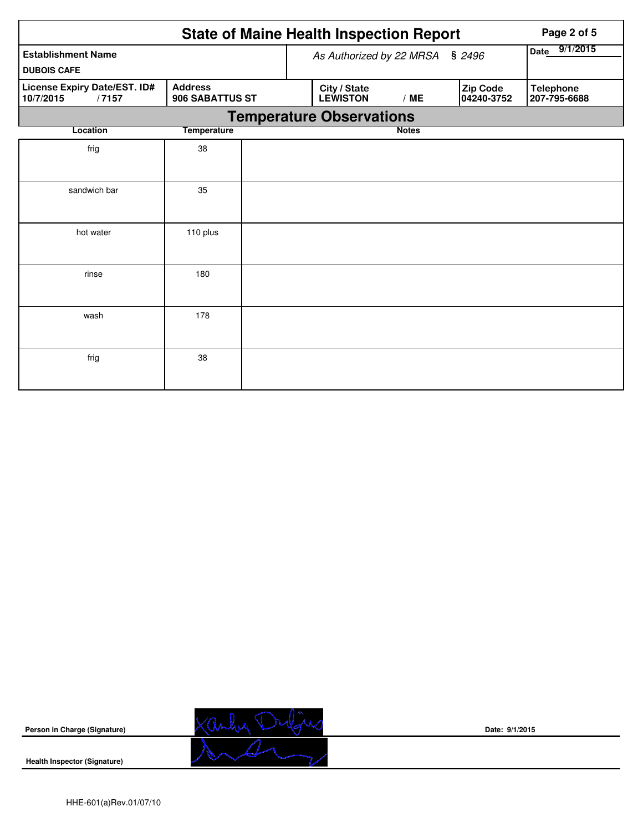|                                                    | Page 2 of 5                       |                                 |                                 |              |                        |                                  |
|----------------------------------------------------|-----------------------------------|---------------------------------|---------------------------------|--------------|------------------------|----------------------------------|
| <b>Establishment Name</b>                          |                                   | As Authorized by 22 MRSA § 2496 | 9/1/2015<br>Date                |              |                        |                                  |
| <b>DUBOIS CAFE</b>                                 |                                   |                                 |                                 |              |                        |                                  |
| License Expiry Date/EST. ID#<br>10/7/2015<br>/7157 | <b>Address</b><br>906 SABATTUS ST |                                 | City / State<br><b>LEWISTON</b> | /ME          | Zip Code<br>04240-3752 | <b>Telephone</b><br>207-795-6688 |
|                                                    |                                   |                                 | <b>Temperature Observations</b> |              |                        |                                  |
| Location                                           | <b>Temperature</b>                |                                 |                                 | <b>Notes</b> |                        |                                  |
| frig                                               | 38                                |                                 |                                 |              |                        |                                  |
| sandwich bar                                       | 35                                |                                 |                                 |              |                        |                                  |
| hot water                                          | 110 plus                          |                                 |                                 |              |                        |                                  |
| rinse                                              | 180                               |                                 |                                 |              |                        |                                  |
| wash                                               | 178                               |                                 |                                 |              |                        |                                  |
| frig                                               | 38                                |                                 |                                 |              |                        |                                  |

**Person in Charge (Signature)**



**Date: 9/1/2015**

**Health Inspector (Signature)**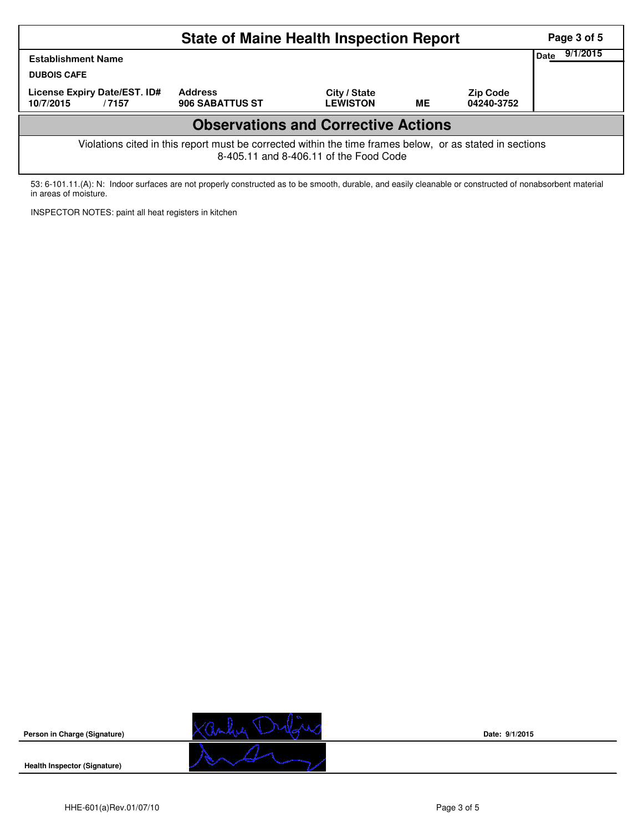|                                                                                                                                                    | Page 3 of 5<br>9/1/2015           |                                 |    |                               |  |  |  |  |  |  |
|----------------------------------------------------------------------------------------------------------------------------------------------------|-----------------------------------|---------------------------------|----|-------------------------------|--|--|--|--|--|--|
| Date<br><b>Establishment Name</b>                                                                                                                  |                                   |                                 |    |                               |  |  |  |  |  |  |
| <b>DUBOIS CAFE</b>                                                                                                                                 |                                   |                                 |    |                               |  |  |  |  |  |  |
| License Expiry Date/EST. ID#<br>10/7/2015<br>/7157                                                                                                 | <b>Address</b><br>906 SABATTUS ST | City / State<br><b>LEWISTON</b> | ME | <b>Zip Code</b><br>04240-3752 |  |  |  |  |  |  |
| <b>Observations and Corrective Actions</b>                                                                                                         |                                   |                                 |    |                               |  |  |  |  |  |  |
| Violations cited in this report must be corrected within the time frames below, or as stated in sections<br>8-405.11 and 8-406.11 of the Food Code |                                   |                                 |    |                               |  |  |  |  |  |  |

53: 6-101.11.(A): N: Indoor surfaces are not properly constructed as to be smooth, durable, and easily cleanable or constructed of nonabsorbent material in areas of moisture.

INSPECTOR NOTES: paint all heat registers in kitchen



**Date: 9/1/2015**

**Health Inspector (Signature)** 

**Person in Charge (Signature)**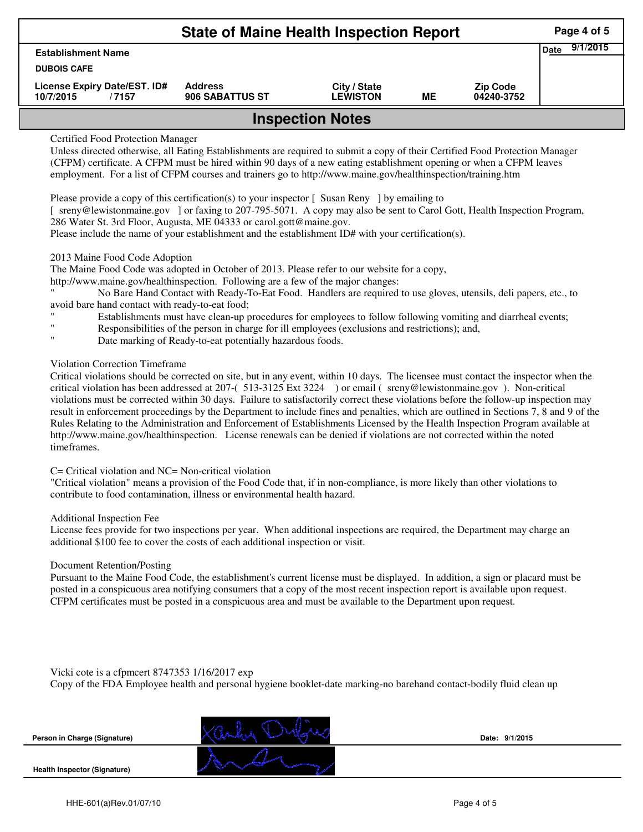| <b>State of Maine Health Inspection Report</b>     |                                   |                                 |    |                               |  |  |  |  |
|----------------------------------------------------|-----------------------------------|---------------------------------|----|-------------------------------|--|--|--|--|
| <b>Date</b><br><b>Establishment Name</b>           |                                   |                                 |    |                               |  |  |  |  |
| <b>DUBOIS CAFE</b>                                 |                                   |                                 |    |                               |  |  |  |  |
| License Expiry Date/EST. ID#<br>10/7/2015<br>/7157 | <b>Address</b><br>906 SABATTUS ST | City / State<br><b>LEWISTON</b> | MЕ | <b>Zip Code</b><br>04240-3752 |  |  |  |  |
| <b>Inspection Notes</b>                            |                                   |                                 |    |                               |  |  |  |  |

## Certified Food Protection Manager

Unless directed otherwise, all Eating Establishments are required to submit a copy of their Certified Food Protection Manager (CFPM) certificate. A CFPM must be hired within 90 days of a new eating establishment opening or when a CFPM leaves employment. For a list of CFPM courses and trainers go to http://www.maine.gov/healthinspection/training.htm

Please provide a copy of this certification(s) to your inspector [ Susan Reny ] by emailing to

[ sreny@lewistonmaine.gov ] or faxing to 207-795-5071. A copy may also be sent to Carol Gott, Health Inspection Program, 286 Water St. 3rd Floor, Augusta, ME 04333 or carol.gott@maine.gov.

Please include the name of your establishment and the establishment ID# with your certification(s).

### 2013 Maine Food Code Adoption

The Maine Food Code was adopted in October of 2013. Please refer to our website for a copy,

http://www.maine.gov/healthinspection. Following are a few of the major changes:

" No Bare Hand Contact with Ready-To-Eat Food. Handlers are required to use gloves, utensils, deli papers, etc., to avoid bare hand contact with ready-to-eat food;

- Establishments must have clean-up procedures for employees to follow following vomiting and diarrheal events;
- Responsibilities of the person in charge for ill employees (exclusions and restrictions); and,
- Date marking of Ready-to-eat potentially hazardous foods.

# Violation Correction Timeframe

Critical violations should be corrected on site, but in any event, within 10 days. The licensee must contact the inspector when the critical violation has been addressed at 207-( 513-3125 Ext 3224 ) or email ( sreny@lewistonmaine.gov ). Non-critical violations must be corrected within 30 days. Failure to satisfactorily correct these violations before the follow-up inspection may result in enforcement proceedings by the Department to include fines and penalties, which are outlined in Sections 7, 8 and 9 of the Rules Relating to the Administration and Enforcement of Establishments Licensed by the Health Inspection Program available at http://www.maine.gov/healthinspection. License renewals can be denied if violations are not corrected within the noted timeframes.

### C= Critical violation and NC= Non-critical violation

"Critical violation" means a provision of the Food Code that, if in non-compliance, is more likely than other violations to contribute to food contamination, illness or environmental health hazard.

#### Additional Inspection Fee

License fees provide for two inspections per year. When additional inspections are required, the Department may charge an additional \$100 fee to cover the costs of each additional inspection or visit.

#### Document Retention/Posting

Pursuant to the Maine Food Code, the establishment's current license must be displayed. In addition, a sign or placard must be posted in a conspicuous area notifying consumers that a copy of the most recent inspection report is available upon request. CFPM certificates must be posted in a conspicuous area and must be available to the Department upon request.

Vicki cote is a cfpmcert 8747353 1/16/2017 exp

Copy of the FDA Employee health and personal hygiene booklet-date marking-no barehand contact-bodily fluid clean up